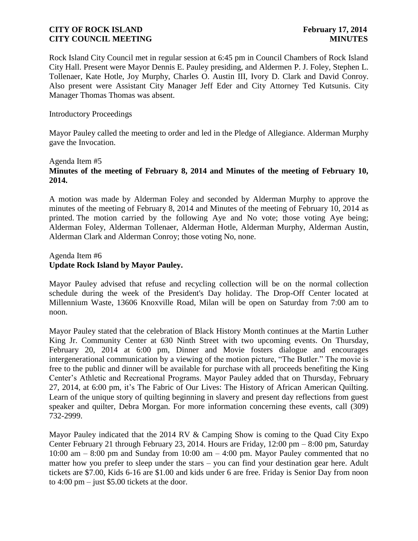Rock Island City Council met in regular session at 6:45 pm in Council Chambers of Rock Island City Hall. Present were Mayor Dennis E. Pauley presiding, and Aldermen P. J. Foley, Stephen L. Tollenaer, Kate Hotle, Joy Murphy, Charles O. Austin III, Ivory D. Clark and David Conroy. Also present were Assistant City Manager Jeff Eder and City Attorney Ted Kutsunis. City Manager Thomas Thomas was absent.

#### Introductory Proceedings

Mayor Pauley called the meeting to order and led in the Pledge of Allegiance. Alderman Murphy gave the Invocation.

#### Agenda Item #5

# **Minutes of the meeting of February 8, 2014 and Minutes of the meeting of February 10, 2014.**

A motion was made by Alderman Foley and seconded by Alderman Murphy to approve the minutes of the meeting of February 8, 2014 and Minutes of the meeting of February 10, 2014 as printed. The motion carried by the following Aye and No vote; those voting Aye being; Alderman Foley, Alderman Tollenaer, Alderman Hotle, Alderman Murphy, Alderman Austin, Alderman Clark and Alderman Conroy; those voting No, none.

### Agenda Item #6 **Update Rock Island by Mayor Pauley.**

Mayor Pauley advised that refuse and recycling collection will be on the normal collection schedule during the week of the President's Day holiday. The Drop-Off Center located at Millennium Waste, 13606 Knoxville Road, Milan will be open on Saturday from 7:00 am to noon.

Mayor Pauley stated that the celebration of Black History Month continues at the Martin Luther King Jr. Community Center at 630 Ninth Street with two upcoming events. On Thursday, February 20, 2014 at 6:00 pm, Dinner and Movie fosters dialogue and encourages intergenerational communication by a viewing of the motion picture, "The Butler." The movie is free to the public and dinner will be available for purchase with all proceeds benefiting the King Center's Athletic and Recreational Programs. Mayor Pauley added that on Thursday, February 27, 2014, at 6:00 pm, it's The Fabric of Our Lives: The History of African American Quilting. Learn of the unique story of quilting beginning in slavery and present day reflections from guest speaker and quilter, Debra Morgan. For more information concerning these events, call (309) 732-2999.

Mayor Pauley indicated that the 2014 RV & Camping Show is coming to the Quad City Expo Center February 21 through February 23, 2014. Hours are Friday, 12:00 pm – 8:00 pm, Saturday 10:00 am – 8:00 pm and Sunday from 10:00 am – 4:00 pm. Mayor Pauley commented that no matter how you prefer to sleep under the stars – you can find your destination gear here. Adult tickets are \$7.00, Kids 6-16 are \$1.00 and kids under 6 are free. Friday is Senior Day from noon to 4:00 pm – just \$5.00 tickets at the door.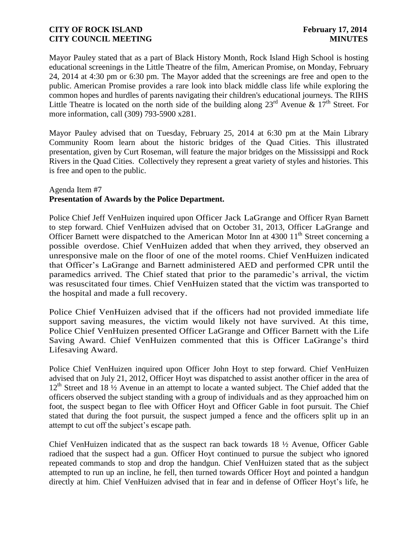Mayor Pauley stated that as a part of Black History Month, Rock Island High School is hosting educational screenings in the Little Theatre of the film, American Promise*,* on Monday, February 24, 2014 at 4:30 pm or 6:30 pm. The Mayor added that the screenings are free and open to the public. American Promise provides a rare look into black middle class life while exploring the common hopes and hurdles of parents navigating their children's educational journeys. The RIHS Little Theatre is located on the north side of the building along  $23^{rd}$  Avenue &  $17^{th}$  Street. For more information, call [\(309\) 793-5900 x281.](tel:309-793-5900%20x281)

Mayor Pauley advised that on Tuesday, February 25, 2014 at 6:30 pm at the Main Library Community Room learn about the historic bridges of the Quad Cities. This illustrated presentation, given by Curt Roseman, will feature the major bridges on the Mississippi and Rock Rivers in the Quad Cities. Collectively they represent a great variety of styles and histories. This is free and open to the public.

### Agenda Item #7 **Presentation of Awards by the Police Department.**

Police Chief Jeff VenHuizen inquired upon Officer Jack LaGrange and Officer Ryan Barnett to step forward. Chief VenHuizen advised that on October 31, 2013, Officer LaGrange and Officer Barnett were dispatched to the American Motor Inn at 4300 11<sup>th</sup> Street concerning a possible overdose. Chief VenHuizen added that when they arrived, they observed an unresponsive male on the floor of one of the motel rooms. Chief VenHuizen indicated that Officer's LaGrange and Barnett administered AED and performed CPR until the paramedics arrived. The Chief stated that prior to the paramedic's arrival, the victim was resuscitated four times. Chief VenHuizen stated that the victim was transported to the hospital and made a full recovery.

Police Chief VenHuizen advised that if the officers had not provided immediate life support saving measures, the victim would likely not have survived. At this time, Police Chief VenHuizen presented Officer LaGrange and Officer Barnett with the Life Saving Award. Chief VenHuizen commented that this is Officer LaGrange's third Lifesaving Award.

Police Chief VenHuizen inquired upon Officer John Hoyt to step forward. Chief VenHuizen advised that on July 21, 2012, Officer Hoyt was dispatched to assist another officer in the area of  $12<sup>th</sup>$  Street and 18  $\frac{1}{2}$  Avenue in an attempt to locate a wanted subject. The Chief added that the officers observed the subject standing with a group of individuals and as they approached him on foot, the suspect began to flee with Officer Hoyt and Officer Gable in foot pursuit. The Chief stated that during the foot pursuit, the suspect jumped a fence and the officers split up in an attempt to cut off the subject's escape path.

Chief VenHuizen indicated that as the suspect ran back towards 18 ½ Avenue, Officer Gable radioed that the suspect had a gun. Officer Hoyt continued to pursue the subject who ignored repeated commands to stop and drop the handgun. Chief VenHuizen stated that as the subject attempted to run up an incline, he fell, then turned towards Officer Hoyt and pointed a handgun directly at him. Chief VenHuizen advised that in fear and in defense of Officer Hoyt's life, he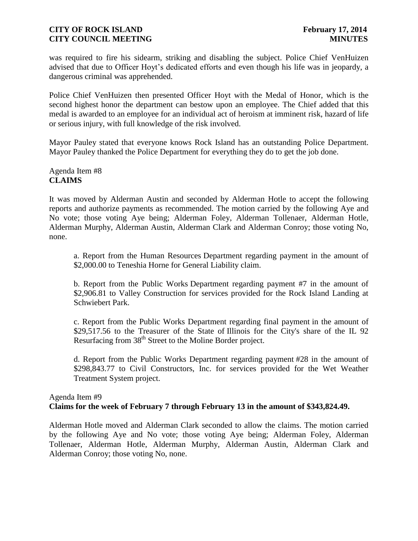was required to fire his sidearm, striking and disabling the subject. Police Chief VenHuizen advised that due to Officer Hoyt's dedicated efforts and even though his life was in jeopardy, a dangerous criminal was apprehended.

Police Chief VenHuizen then presented Officer Hoyt with the Medal of Honor, which is the second highest honor the department can bestow upon an employee. The Chief added that this medal is awarded to an employee for an individual act of heroism at imminent risk, hazard of life or serious injury, with full knowledge of the risk involved.

Mayor Pauley stated that everyone knows Rock Island has an outstanding Police Department. Mayor Pauley thanked the Police Department for everything they do to get the job done.

Agenda Item #8 **CLAIMS**

It was moved by Alderman Austin and seconded by Alderman Hotle to accept the following reports and authorize payments as recommended. The motion carried by the following Aye and No vote; those voting Aye being; Alderman Foley, Alderman Tollenaer, Alderman Hotle, Alderman Murphy, Alderman Austin, Alderman Clark and Alderman Conroy; those voting No, none.

a. Report from the Human Resources Department regarding payment in the amount of \$2,000.00 to Teneshia Horne for General Liability claim.

b. Report from the Public Works Department regarding payment #7 in the amount of \$2,906.81 to Valley Construction for services provided for the Rock Island Landing at Schwiebert Park.

c. Report from the Public Works Department regarding final payment in the amount of \$29,517.56 to the Treasurer of the State of Illinois for the City's share of the IL 92 Resurfacing from 38<sup>th</sup> Street to the Moline Border project.

d. Report from the Public Works Department regarding payment #28 in the amount of \$298,843.77 to Civil Constructors, Inc. for services provided for the Wet Weather Treatment System project.

### Agenda Item #9 **Claims for the week of February 7 through February 13 in the amount of \$343,824.49.**

Alderman Hotle moved and Alderman Clark seconded to allow the claims. The motion carried by the following Aye and No vote; those voting Aye being; Alderman Foley, Alderman Tollenaer, Alderman Hotle, Alderman Murphy, Alderman Austin, Alderman Clark and Alderman Conroy; those voting No, none.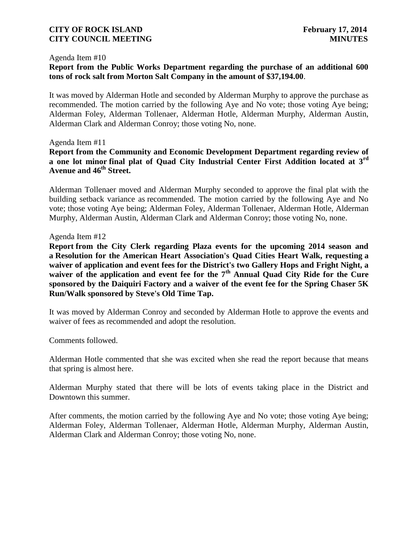#### Agenda Item #10

## **Report from the Public Works Department regarding the purchase of an additional 600 tons of rock salt from Morton Salt Company in the amount of \$37,194.00**.

It was moved by Alderman Hotle and seconded by Alderman Murphy to approve the purchase as recommended. The motion carried by the following Aye and No vote; those voting Aye being; Alderman Foley, Alderman Tollenaer, Alderman Hotle, Alderman Murphy, Alderman Austin, Alderman Clark and Alderman Conroy; those voting No, none.

#### Agenda Item #11

## **Report from the Community and Economic Development Department regarding review of a one lot minor final plat of Quad City Industrial Center First Addition located at 3rd Avenue and 46th Street.**

Alderman Tollenaer moved and Alderman Murphy seconded to approve the final plat with the building setback variance as recommended. The motion carried by the following Aye and No vote; those voting Aye being; Alderman Foley, Alderman Tollenaer, Alderman Hotle, Alderman Murphy, Alderman Austin, Alderman Clark and Alderman Conroy; those voting No, none.

### Agenda Item #12

**Report from the City Clerk regarding Plaza events for the upcoming 2014 season and a Resolution for the American Heart Association's Quad Cities Heart Walk, requesting a waiver of application and event fees for the District's two Gallery Hops and Fright Night, a**  waiver of the application and event fee for the 7<sup>th</sup> Annual Quad City Ride for the Cure **sponsored by the Daiquiri Factory and a waiver of the event fee for the Spring Chaser 5K Run/Walk sponsored by Steve's Old Time Tap.** 

It was moved by Alderman Conroy and seconded by Alderman Hotle to approve the events and waiver of fees as recommended and adopt the resolution.

Comments followed.

Alderman Hotle commented that she was excited when she read the report because that means that spring is almost here.

Alderman Murphy stated that there will be lots of events taking place in the District and Downtown this summer.

After comments, the motion carried by the following Aye and No vote; those voting Aye being; Alderman Foley, Alderman Tollenaer, Alderman Hotle, Alderman Murphy, Alderman Austin, Alderman Clark and Alderman Conroy; those voting No, none.